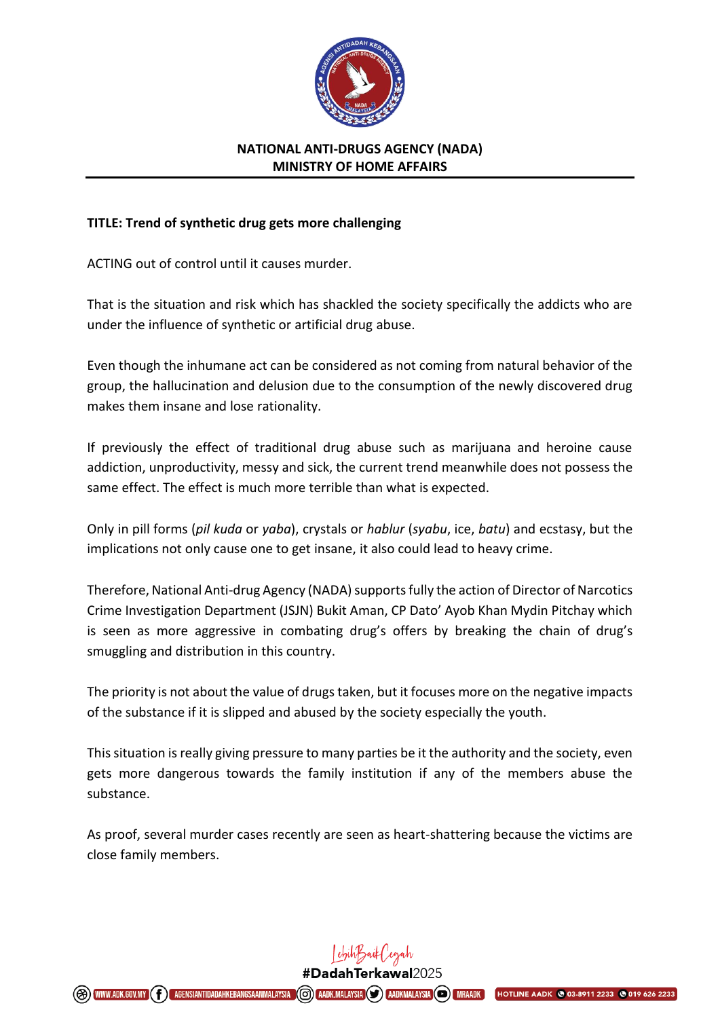

## **NATIONAL ANTI-DRUGS AGENCY (NADA) MINISTRY OF HOME AFFAIRS**

## **TITLE: Trend of synthetic drug gets more challenging**

ACTING out of control until it causes murder.

That is the situation and risk which has shackled the society specifically the addicts who are under the influence of synthetic or artificial drug abuse.

Even though the inhumane act can be considered as not coming from natural behavior of the group, the hallucination and delusion due to the consumption of the newly discovered drug makes them insane and lose rationality.

If previously the effect of traditional drug abuse such as marijuana and heroine cause addiction, unproductivity, messy and sick, the current trend meanwhile does not possess the same effect. The effect is much more terrible than what is expected.

Only in pill forms (*pil kuda* or *yaba*), crystals or *hablur* (*syabu*, ice, *batu*) and ecstasy, but the implications not only cause one to get insane, it also could lead to heavy crime.

Therefore, National Anti-drug Agency (NADA) supports fully the action of Director of Narcotics Crime Investigation Department (JSJN) Bukit Aman, CP Dato' Ayob Khan Mydin Pitchay which is seen as more aggressive in combating drug's offers by breaking the chain of drug's smuggling and distribution in this country.

The priority is not about the value of drugs taken, but it focuses more on the negative impacts of the substance if it is slipped and abused by the society especially the youth.

This situation is really giving pressure to many parties be it the authority and the society, even gets more dangerous towards the family institution if any of the members abuse the substance.

As proof, several murder cases recently are seen as heart-shattering because the victims are close family members.

> Lehih Baik Cegah #DadahTerkawal2025

**(G) AADK.MALAYSIA (S) AADKMALAYSIA (S) MRAADK** 

**HOTLINE AADK @ 03-8911 2233**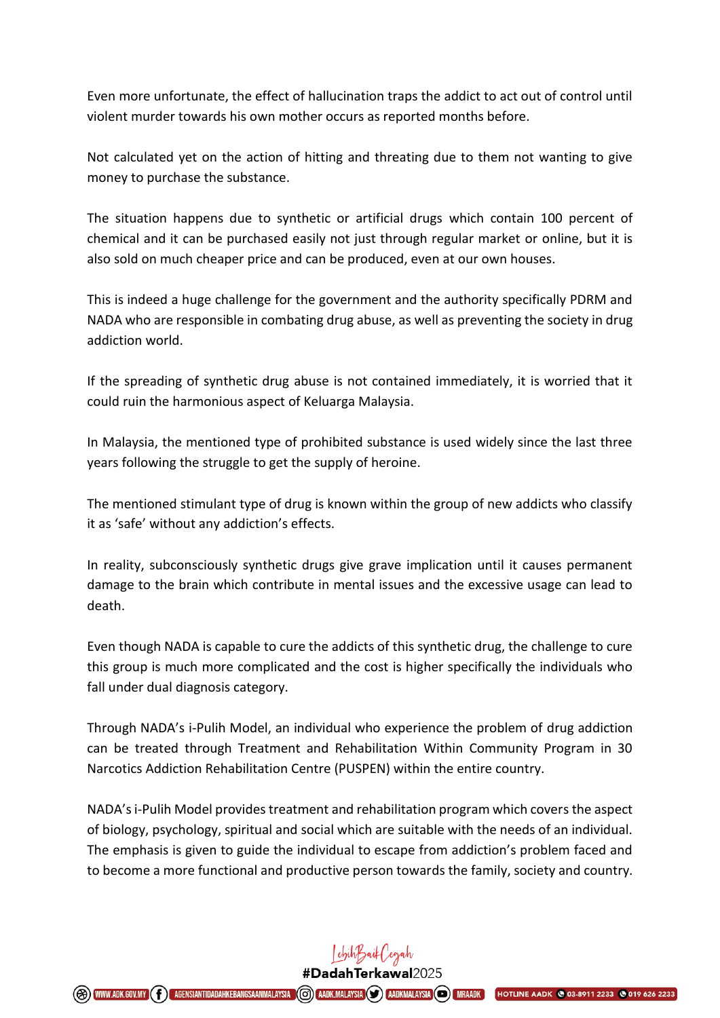Even more unfortunate, the effect of hallucination traps the addict to act out of control until violent murder towards his own mother occurs as reported months before.

Not calculated yet on the action of hitting and threating due to them not wanting to give money to purchase the substance.

The situation happens due to synthetic or artificial drugs which contain 100 percent of chemical and it can be purchased easily not just through regular market or online, but it is also sold on much cheaper price and can be produced, even at our own houses.

This is indeed a huge challenge for the government and the authority specifically PDRM and NADA who are responsible in combating drug abuse, as well as preventing the society in drug addiction world.

If the spreading of synthetic drug abuse is not contained immediately, it is worried that it could ruin the harmonious aspect of Keluarga Malaysia.

In Malaysia, the mentioned type of prohibited substance is used widely since the last three years following the struggle to get the supply of heroine.

The mentioned stimulant type of drug is known within the group of new addicts who classify it as 'safe' without any addiction's effects.

In reality, subconsciously synthetic drugs give grave implication until it causes permanent damage to the brain which contribute in mental issues and the excessive usage can lead to death.

Even though NADA is capable to cure the addicts of this synthetic drug, the challenge to cure this group is much more complicated and the cost is higher specifically the individuals who fall under dual diagnosis category.

Through NADA's i-Pulih Model, an individual who experience the problem of drug addiction can be treated through Treatment and Rehabilitation Within Community Program in 30 Narcotics Addiction Rehabilitation Centre (PUSPEN) within the entire country.

NADA's i-Pulih Model provides treatment and rehabilitation program which covers the aspect of biology, psychology, spiritual and social which are suitable with the needs of an individual. The emphasis is given to guide the individual to escape from addiction's problem faced and to become a more functional and productive person towards the family, society and country.

## Lehih Jaik (egah

#DadahTerkawal2025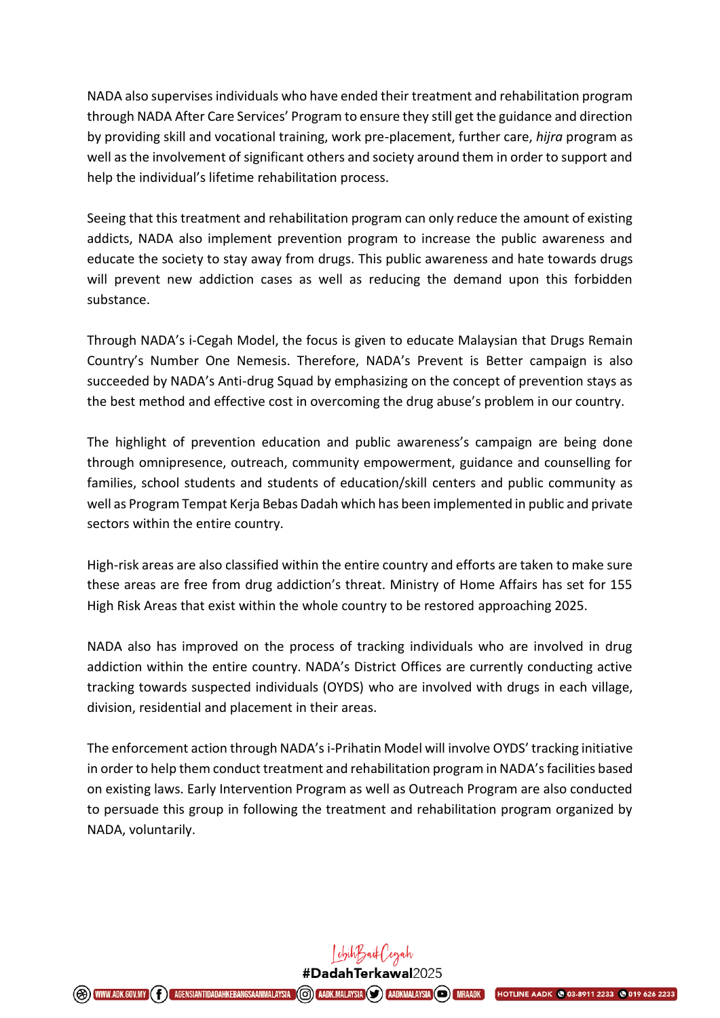NADA also supervises individuals who have ended their treatment and rehabilitation program through NADA After Care Services' Program to ensure they still get the guidance and direction by providing skill and vocational training, work pre-placement, further care, *hijra* program as well as the involvement of significant others and society around them in order to support and help the individual's lifetime rehabilitation process.

Seeing that this treatment and rehabilitation program can only reduce the amount of existing addicts, NADA also implement prevention program to increase the public awareness and educate the society to stay away from drugs. This public awareness and hate towards drugs will prevent new addiction cases as well as reducing the demand upon this forbidden substance.

Through NADA's i-Cegah Model, the focus is given to educate Malaysian that Drugs Remain Country's Number One Nemesis. Therefore, NADA's Prevent is Better campaign is also succeeded by NADA's Anti-drug Squad by emphasizing on the concept of prevention stays as the best method and effective cost in overcoming the drug abuse's problem in our country.

The highlight of prevention education and public awareness's campaign are being done through omnipresence, outreach, community empowerment, guidance and counselling for families, school students and students of education/skill centers and public community as well as Program Tempat Kerja Bebas Dadah which has been implemented in public and private sectors within the entire country.

High-risk areas are also classified within the entire country and efforts are taken to make sure these areas are free from drug addiction's threat. Ministry of Home Affairs has set for 155 High Risk Areas that exist within the whole country to be restored approaching 2025.

NADA also has improved on the process of tracking individuals who are involved in drug addiction within the entire country. NADA's District Offices are currently conducting active tracking towards suspected individuals (OYDS) who are involved with drugs in each village, division, residential and placement in their areas.

The enforcement action through NADA's i-Prihatin Model will involve OYDS' tracking initiative in order to help them conduct treatment and rehabilitation program in NADA's facilities based on existing laws. Early Intervention Program as well as Outreach Program are also conducted to persuade this group in following the treatment and rehabilitation program organized by NADA, voluntarily.

> Lehih Baik ('egah #DadahTerkawal2025